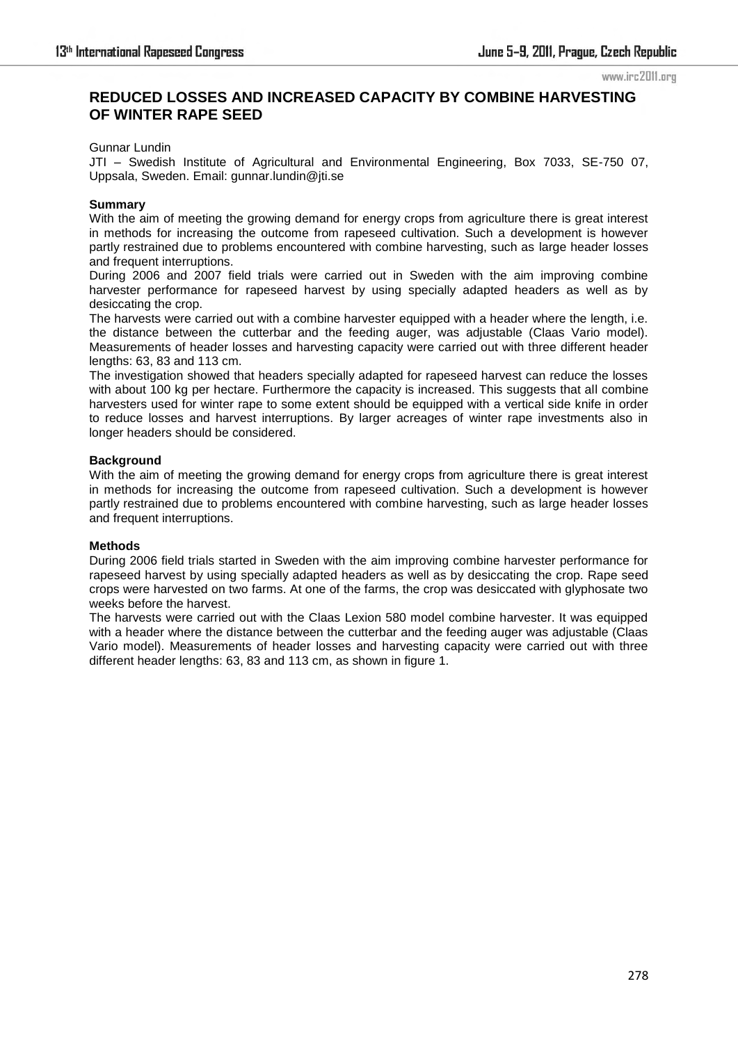#### www.irc2011.org

# **REDUCED LOSSES AND INCREASED CAPACITY BY COMBINE HARVESTING OF WINTER RAPE SEED**

#### Gunnar Lundin

JTI – Swedish Institute of Agricultural and Environmental Engineering, Box 7033, SE-750 07, Uppsala, Sweden. Email: gunnar.lundin@jti.se

#### **Summary**

With the aim of meeting the growing demand for energy crops from agriculture there is great interest in methods for increasing the outcome from rapeseed cultivation. Such a development is however partly restrained due to problems encountered with combine harvesting, such as large header losses and frequent interruptions.

During 2006 and 2007 field trials were carried out in Sweden with the aim improving combine harvester performance for rapeseed harvest by using specially adapted headers as well as by desiccating the crop.

The harvests were carried out with a combine harvester equipped with a header where the length, i.e. the distance between the cutterbar and the feeding auger, was adjustable (Claas Vario model). Measurements of header losses and harvesting capacity were carried out with three different header lengths: 63, 83 and 113 cm.

The investigation showed that headers specially adapted for rapeseed harvest can reduce the losses with about 100 kg per hectare. Furthermore the capacity is increased. This suggests that all combine harvesters used for winter rape to some extent should be equipped with a vertical side knife in order to reduce losses and harvest interruptions. By larger acreages of winter rape investments also in longer headers should be considered.

## **Background**

With the aim of meeting the growing demand for energy crops from agriculture there is great interest in methods for increasing the outcome from rapeseed cultivation. Such a development is however partly restrained due to problems encountered with combine harvesting, such as large header losses and frequent interruptions.

#### **Methods**

During 2006 field trials started in Sweden with the aim improving combine harvester performance for rapeseed harvest by using specially adapted headers as well as by desiccating the crop. Rape seed crops were harvested on two farms. At one of the farms, the crop was desiccated with glyphosate two weeks before the harvest.

The harvests were carried out with the Claas Lexion 580 model combine harvester. It was equipped with a header where the distance between the cutterbar and the feeding auger was adjustable (Claas Vario model). Measurements of header losses and harvesting capacity were carried out with three different header lengths: 63, 83 and 113 cm, as shown in figure 1.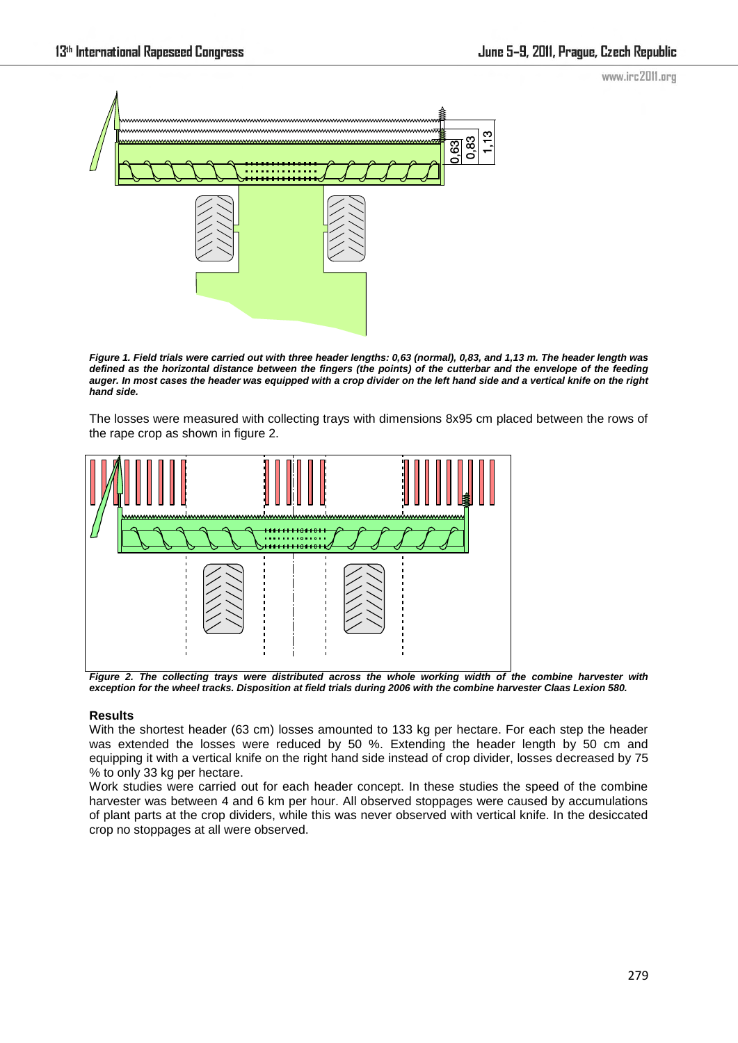www.irc2011.org



*Figure 1. Field trials were carried out with three header lengths: 0,63 (normal), 0,83, and 1,13 m. The header length was defined as the horizontal distance between the fingers (the points) of the cutterbar and the envelope of the feeding auger. In most cases the header was equipped with a crop divider on the left hand side and a vertical knife on the right hand side.* 

The losses were measured with collecting trays with dimensions 8x95 cm placed between the rows of the rape crop as shown in figure 2.



*Figure 2. The collecting trays were distributed across the whole working width of the combine harvester with exception for the wheel tracks. Disposition at field trials during 2006 with the combine harvester Claas Lexion 580.* 

## **Results**

With the shortest header (63 cm) losses amounted to 133 kg per hectare. For each step the header was extended the losses were reduced by 50 %. Extending the header length by 50 cm and equipping it with a vertical knife on the right hand side instead of crop divider, losses decreased by 75 % to only 33 kg per hectare.

Work studies were carried out for each header concept. In these studies the speed of the combine harvester was between 4 and 6 km per hour. All observed stoppages were caused by accumulations of plant parts at the crop dividers, while this was never observed with vertical knife. In the desiccated crop no stoppages at all were observed.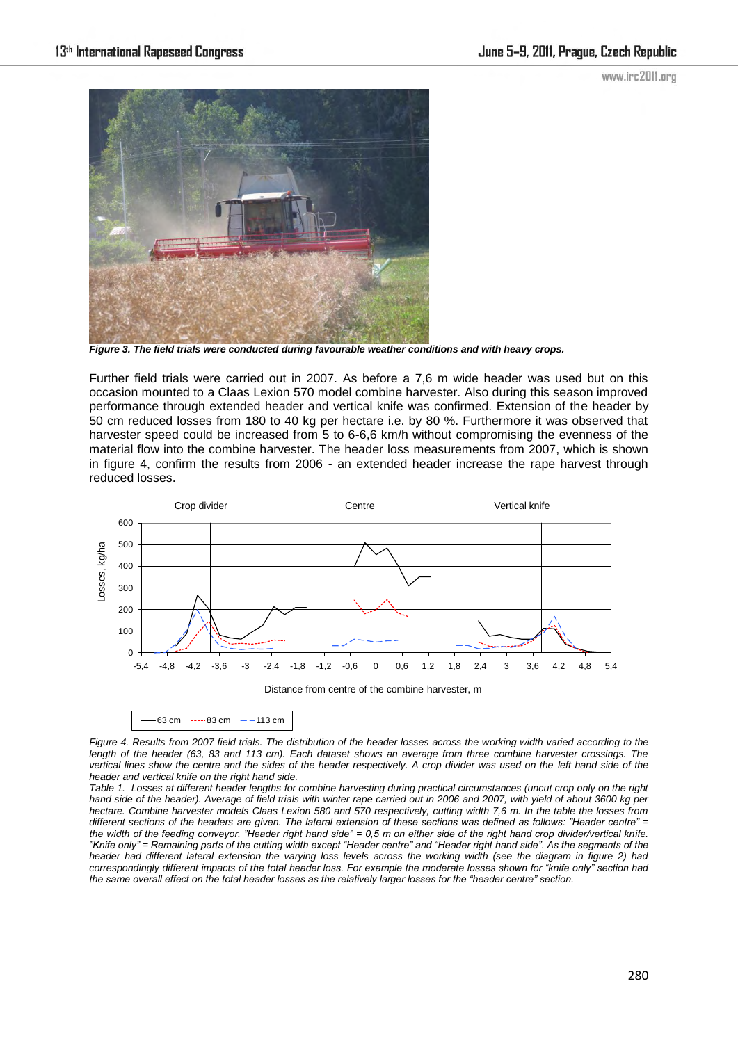www.irc2011.org



*Figure 3. The field trials were conducted during favourable weather conditions and with heavy crops.* 

Further field trials were carried out in 2007. As before a 7,6 m wide header was used but on this occasion mounted to a Claas Lexion 570 model combine harvester. Also during this season improved performance through extended header and vertical knife was confirmed. Extension of the header by 50 cm reduced losses from 180 to 40 kg per hectare i.e. by 80 %. Furthermore it was observed that harvester speed could be increased from 5 to 6-6,6 km/h without compromising the evenness of the material flow into the combine harvester. The header loss measurements from 2007, which is shown in figure 4, confirm the results from 2006 - an extended header increase the rape harvest through reduced losses.



 $-63$  cm  $-$  113 cm

*Figure 4. Results from 2007 field trials. The distribution of the header losses across the working width varied according to the length of the header (63, 83 and 113 cm). Each dataset shows an average from three combine harvester crossings. The* vertical lines show the centre and the sides of the header respectively. A crop divider was used on the left hand side of the *header and vertical knife on the right hand side.* 

*Table 1. Losses at different header lengths for combine harvesting during practical circumstances (uncut crop only on the right hand side of the header). Average of field trials with winter rape carried out in 2006 and 2007, with yield of about 3600 kg per hectare. Combine harvester models Claas Lexion 580 and 570 respectively, cutting width 7,6 m. In the table the losses from different sections of the headers are given. The lateral extension of these sections was defined as follows: "Header centre" = the width of the feeding conveyor. "Header right hand side" = 0,5 m on either side of the right hand crop divider/vertical knife. "Knife only" = Remaining parts of the cutting width except "Header centre" and "Header right hand side". As the segments of the header had different lateral extension the varying loss levels across the working width (see the diagram in figure 2) had correspondingly different impacts of the total header loss. For example the moderate losses shown for "knife only" section had the same overall effect on the total header losses as the relatively larger losses for the "header centre" section.*